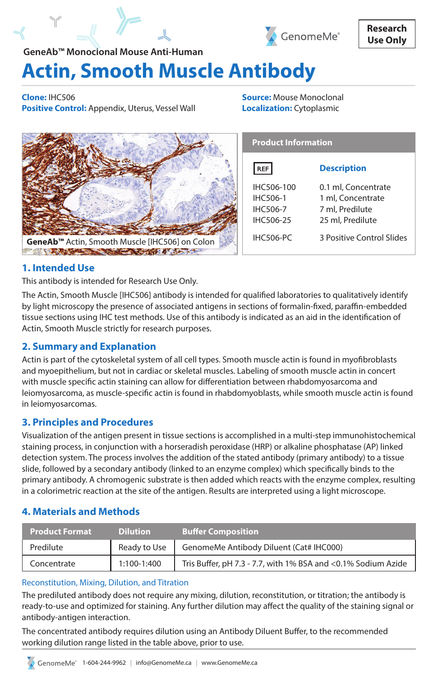



# **Actin, Smooth Muscle Antibody GeneAb™ Monoclonal Mouse Anti-Human**

**Clone:** IHC506 **Positive Control:** Appendix, Uterus, Vessel Wall **Source:** Mouse Monoclonal **Localization:** Cytoplasmic

|                                                            | <b>Product Information</b>                                           |                                                                                 |
|------------------------------------------------------------|----------------------------------------------------------------------|---------------------------------------------------------------------------------|
|                                                            | RF                                                                   | <b>Description</b>                                                              |
|                                                            | IHC506-100<br><b>IHC506-1</b><br><b>IHC506-7</b><br><b>IHC506-25</b> | 0.1 ml, Concentrate<br>1 ml, Concentrate<br>7 ml, Predilute<br>25 ml, Predilute |
| GeneAb <sup>™</sup> Actin, Smooth Muscle [IHC506] on Colon | <b>IHC506-PC</b>                                                     | 3 Positive Control Slides                                                       |
|                                                            |                                                                      |                                                                                 |

# **1. Intended Use**

This antibody is intended for Research Use Only.

The Actin, Smooth Muscle [IHC506] antibody is intended for qualified laboratories to qualitatively identify by light microscopy the presence of associated antigens in sections of formalin-fixed, paraffin-embedded tissue sections using IHC test methods. Use of this antibody is indicated as an aid in the identification of Actin, Smooth Muscle strictly for research purposes.

# **2. Summary and Explanation**

Actin is part of the cytoskeletal system of all cell types. Smooth muscle actin is found in myofibroblasts and myoepithelium, but not in cardiac or skeletal muscles. Labeling of smooth muscle actin in concert with muscle specific actin staining can allow for differentiation between rhabdomyosarcoma and leiomyosarcoma, as muscle-specific actin is found in rhabdomyoblasts, while smooth muscle actin is found in leiomyosarcomas.

# **3. Principles and Procedures**

Visualization of the antigen present in tissue sections is accomplished in a multi-step immunohistochemical staining process, in conjunction with a horseradish peroxidase (HRP) or alkaline phosphatase (AP) linked detection system. The process involves the addition of the stated antibody (primary antibody) to a tissue slide, followed by a secondary antibody (linked to an enzyme complex) which specifically binds to the primary antibody. A chromogenic substrate is then added which reacts with the enzyme complex, resulting in a colorimetric reaction at the site of the antigen. Results are interpreted using a light microscope.

# **4. Materials and Methods**

| <b>Product Format</b> | <b>Dilution</b> | <b>Buffer Composition</b>                                     |
|-----------------------|-----------------|---------------------------------------------------------------|
| Predilute             | Ready to Use    | GenomeMe Antibody Diluent (Cat# IHC000)                       |
| Concentrate           | 1:100-1:400     | Tris Buffer, pH 7.3 - 7.7, with 1% BSA and <0.1% Sodium Azide |

# Reconstitution, Mixing, Dilution, and Titration

The prediluted antibody does not require any mixing, dilution, reconstitution, or titration; the antibody is ready-to-use and optimized for staining. Any further dilution may affect the quality of the staining signal or antibody-antigen interaction.

The concentrated antibody requires dilution using an Antibody Diluent Buffer, to the recommended working dilution range listed in the table above, prior to use.

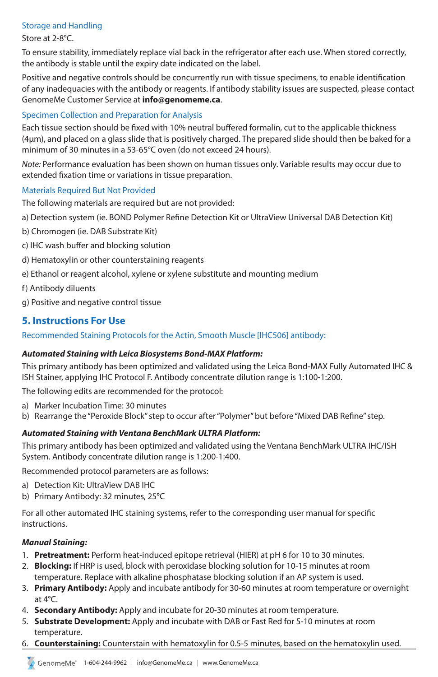## Storage and Handling

#### Store at 2-8°C.

To ensure stability, immediately replace vial back in the refrigerator after each use. When stored correctly, the antibody is stable until the expiry date indicated on the label.

Positive and negative controls should be concurrently run with tissue specimens, to enable identification of any inadequacies with the antibody or reagents. If antibody stability issues are suspected, please contact GenomeMe Customer Service at **info@genomeme.ca**.

#### Specimen Collection and Preparation for Analysis

Each tissue section should be fixed with 10% neutral buffered formalin, cut to the applicable thickness (4µm), and placed on a glass slide that is positively charged. The prepared slide should then be baked for a minimum of 30 minutes in a 53-65°C oven (do not exceed 24 hours).

*Note:* Performance evaluation has been shown on human tissues only. Variable results may occur due to extended fixation time or variations in tissue preparation.

#### Materials Required But Not Provided

The following materials are required but are not provided:

a) Detection system (ie. BOND Polymer Refine Detection Kit or UltraView Universal DAB Detection Kit)

- b) Chromogen (ie. DAB Substrate Kit)
- c) IHC wash buffer and blocking solution
- d) Hematoxylin or other counterstaining reagents
- e) Ethanol or reagent alcohol, xylene or xylene substitute and mounting medium
- f) Antibody diluents
- g) Positive and negative control tissue

# **5. Instructions For Use**

Recommended Staining Protocols for the Actin, Smooth Muscle [IHC506] antibody:

#### *Automated Staining with Leica Biosystems Bond-MAX Platform:*

This primary antibody has been optimized and validated using the Leica Bond-MAX Fully Automated IHC & ISH Stainer, applying IHC Protocol F. Antibody concentrate dilution range is 1:100-1:200.

The following edits are recommended for the protocol:

- a) Marker Incubation Time: 30 minutes
- b) Rearrange the "Peroxide Block" step to occur after "Polymer" but before "Mixed DAB Refine" step.

#### *Automated Staining with Ventana BenchMark ULTRA Platform:*

This primary antibody has been optimized and validated using the Ventana BenchMark ULTRA IHC/ISH System. Antibody concentrate dilution range is 1:200-1:400.

Recommended protocol parameters are as follows:

- a) Detection Kit: UltraView DAB IHC
- b) Primary Antibody: 32 minutes, 25**°**C

For all other automated IHC staining systems, refer to the corresponding user manual for specific instructions.

#### *Manual Staining:*

- 1. **Pretreatment:** Perform heat-induced epitope retrieval (HIER) at pH 6 for 10 to 30 minutes.
- 2. **Blocking:** If HRP is used, block with peroxidase blocking solution for 10-15 minutes at room temperature. Replace with alkaline phosphatase blocking solution if an AP system is used.
- 3. **Primary Antibody:** Apply and incubate antibody for 30-60 minutes at room temperature or overnight at 4°C.
- 4. **Secondary Antibody:** Apply and incubate for 20-30 minutes at room temperature.
- 5. **Substrate Development:** Apply and incubate with DAB or Fast Red for 5-10 minutes at room temperature.
- 6. **Counterstaining:** Counterstain with hematoxylin for 0.5-5 minutes, based on the hematoxylin used.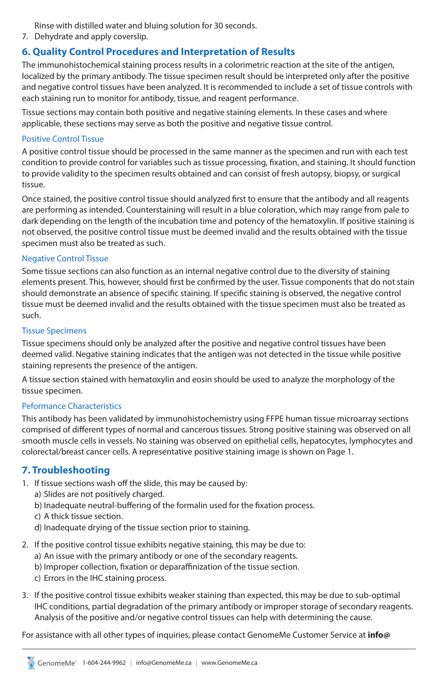Rinse with distilled water and bluing solution for 30 seconds.

7. Dehydrate and apply coverslip.

## **6. Quality Control Procedures and Interpretation of Results**

The immunohistochemical staining process results in a colorimetric reaction at the site of the antigen, localized by the primary antibody. The tissue specimen result should be interpreted only after the positive and negative control tissues have been analyzed. It is recommended to include a set of tissue controls with each staining run to monitor for antibody, tissue, and reagent performance.

Tissue sections may contain both positive and negative staining elements. In these cases and where applicable, these sections may serve as both the positive and negative tissue control.

#### Positive Control Tissue

A positive control tissue should be processed in the same manner as the specimen and run with each test condition to provide control for variables such as tissue processing, fixation, and staining. It should function to provide validity to the specimen results obtained and can consist of fresh autopsy, biopsy, or surgical tissue.

Once stained, the positive control tissue should analyzed first to ensure that the antibody and all reagents are performing as intended. Counterstaining will result in a blue coloration, which may range from pale to dark depending on the length of the incubation time and potency of the hematoxylin. If positive staining is not observed, the positive control tissue must be deemed invalid and the results obtained with the tissue specimen must also be treated as such.

#### Negative Control Tissue

Some tissue sections can also function as an internal negative control due to the diversity of staining elements present. This, however, should first be confirmed by the user. Tissue components that do not stain should demonstrate an absence of specific staining. If specific staining is observed, the negative control tissue must be deemed invalid and the results obtained with the tissue specimen must also be treated as such.

#### Tissue Specimens

Tissue specimens should only be analyzed after the positive and negative control tissues have been deemed valid. Negative staining indicates that the antigen was not detected in the tissue while positive staining represents the presence of the antigen.

A tissue section stained with hematoxylin and eosin should be used to analyze the morphology of the tissue specimen.

#### Peformance Characteristics

This antibody has been validated by immunohistochemistry using FFPE human tissue microarray sections comprised of different types of normal and cancerous tissues. Strong positive staining was observed on all smooth muscle cells in vessels. No staining was observed on epithelial cells, hepatocytes, lymphocytes and colorectal/breast cancer cells. A representative positive staining image is shown on Page 1.

## **7. Troubleshooting**

- 1. If tissue sections wash off the slide, this may be caused by:
	- a) Slides are not positively charged.
	- b) Inadequate neutral-buffering of the formalin used for the fixation process.
	- c) A thick tissue section.
	- d) Inadequate drying of the tissue section prior to staining.
- 2. If the positive control tissue exhibits negative staining, this may be due to:
	- a) An issue with the primary antibody or one of the secondary reagents.
	- b) Improper collection, fixation or deparaffinization of the tissue section.
	- c) Errors in the IHC staining process.
- 3. If the positive control tissue exhibits weaker staining than expected, this may be due to sub-optimal IHC conditions, partial degradation of the primary antibody or improper storage of secondary reagents. Analysis of the positive and/or negative control tissues can help with determining the cause.

For assistance with all other types of inquiries, please contact GenomeMe Customer Service at **info@**